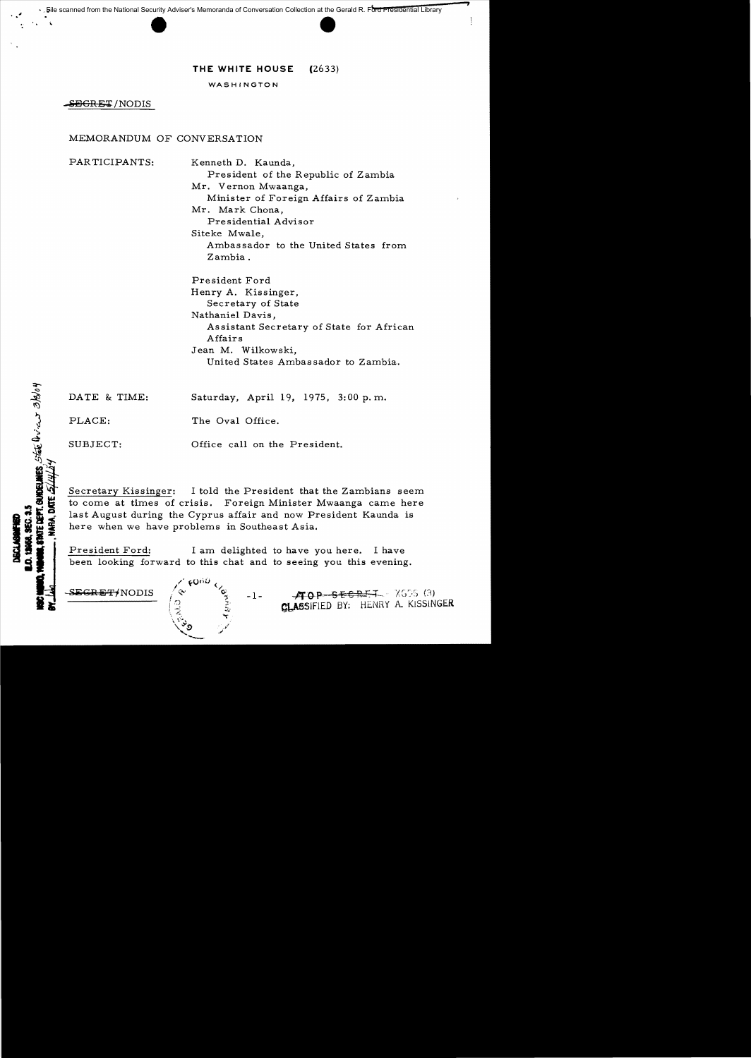# **THE WHITE HOUSE** (2633)

WASHINGTON

S<del>EICRET</del>/NODIS

# MEMORANDUM OF CONVERSATION

PARTICIPANTS: Kenneth D. Kaunda,

President of the Republic of Zambia Mr. Vernon Mwaanga, Minister of Foreign Affairs of Zambia Mr. Mark Chona, Presidential Advisor Siteke Mwale, Ambassador to the United States from Zambia.

President Ford Henry A. Kissinger, Secretary of State Nathaniel Davis, As sistant Secretary of State for African Affairs Jean M. Wilkowski, United States Ambas sador to Zambia.

| DATE & TIME: | Saturday, April 19, 1975, 3:00 p.m. |
|--------------|-------------------------------------|
| PLACE:       | The Oval Office.                    |

SUBJECT: Office call on the President.

Secretary Kissinger: I told the President that the Zambians seem to come at times of crisis. Foreign Minister Mwaanga came here last August during the Cyprus affair and now President Kaunda is here when we have problems in Southeast Asia.

President Ford: I am delighted to have you here. I have been looking forward to this chat and to seeing you this evening.

**BURGELANES**, State Drich 3/3/04

 $SEGREF/NODIS$   $\Diamond$   $\Diamond$   $\Box$ .  $\angle$   $\angle$   $\Diamond$   $\Theta$   $SEGH+I - XG56(3)$ CLASSIFIED BY: HENRY A. KISSINGER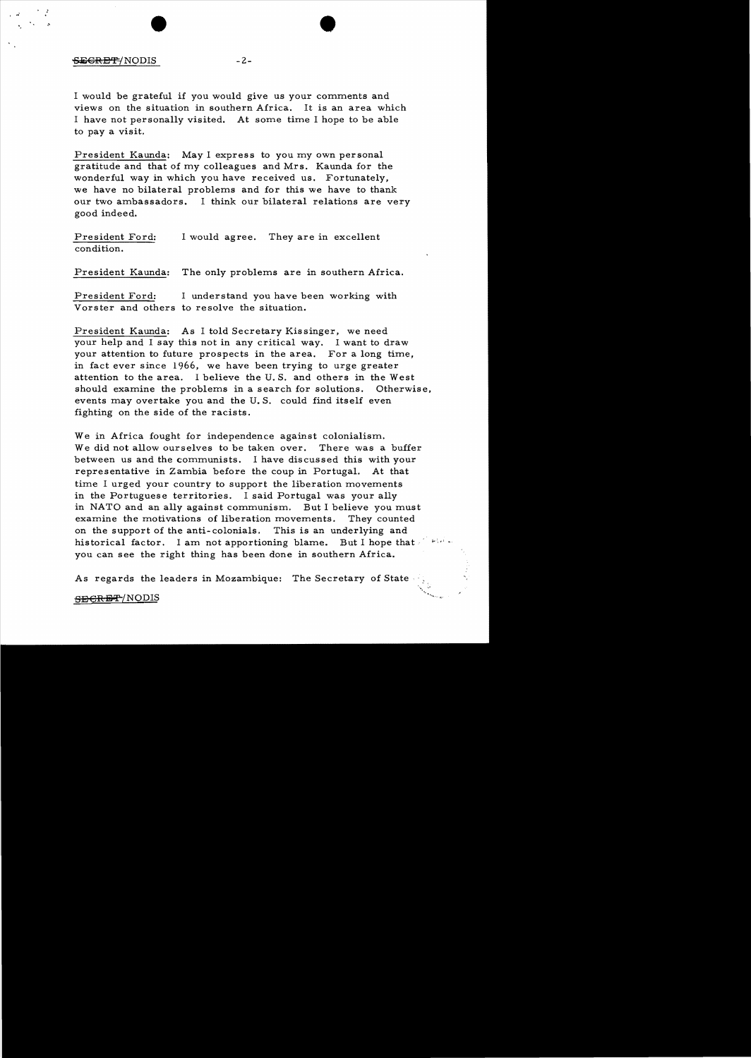## $-2-$

..'

.'

I would be grateful if you would give us your comments and views on the situation in southern Africa. It is an area which I have not personally visited. At some time I hope to be able to pay a visit.

President Kaunda: May I express to you my own personal gratitude and that of my colleagues and Mrs. Kaunda for the wonderful way in which you have received us. Fortunately, we have no bilateral problems and for this we have to thank our two ambassadors. I think our bilateral relations are very good indeed.

President Ford: I would agree. They are in excellent condition.

President Kaunda: The only problems are in southern Africa.

President Ford: I understand you have been working with Vorster and others to resolve the situation.

President Kaunda: As I told Secretary Kissinger, we need your help and I say this not in any critical way. I want to draw your attention to future prospects in the area. For a long time, in fact ever since 1966, we have been trying to urge greater attention to the area. I believe the U. S. and others in the West should examine the problems in a search for solutions. Otherwise, events may overtake you and the U. S. could find itself even fighting on the side of the racists.

We in Africa fought for independence against colonialism. We did not allow ourselves to be taken over. There was a buffer between us and the communists. I have discussed this with your representative in Zambia before the coup in Portugal. At that time I urged your country to support the liberation movements in the Portuguese territories. I said Portugal was your ally in NATO and an ally against communism. But I believe you must examine the motivations of liberation movements. They counted on the support of the anti-colonials. This is an underlying and historical factor. I am not apportioning blame. But I hope that  $e^{i\omega t}$ . you can see the right thing has been done in southern Africa.

As regards the leaders in Mozambique: The Secretary of State .

#### SECRET/NODIS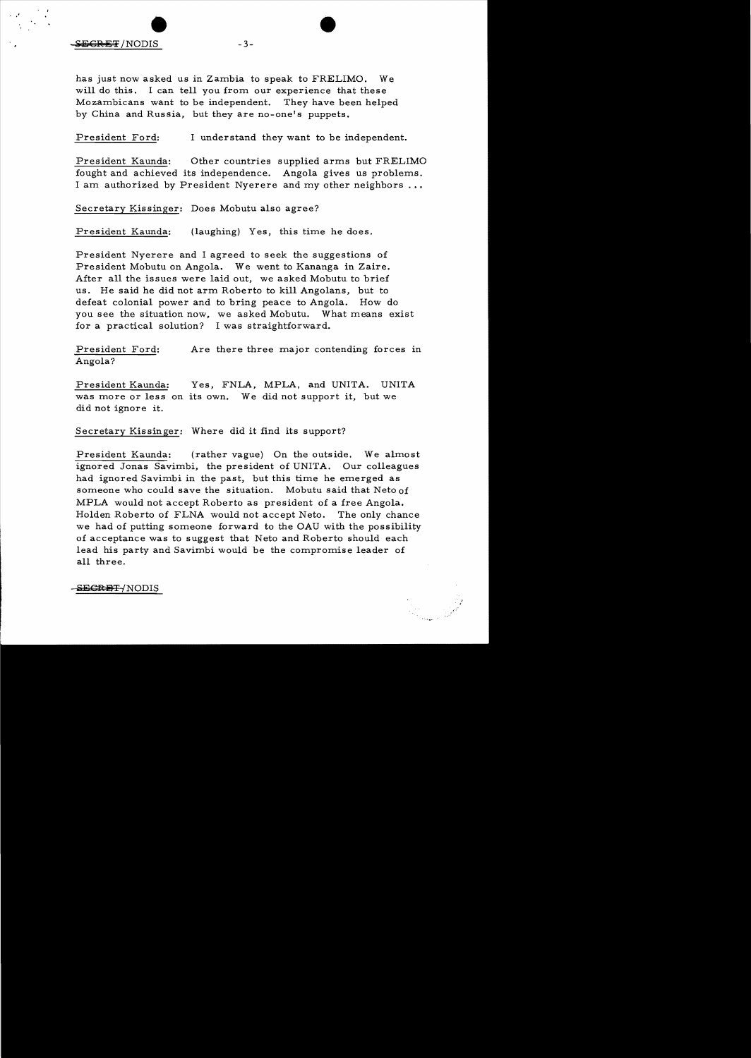.  $\mathcal{F}$ 

has just now asked us in Zambia to speak to FRELIMO. We will do this. I can tell you from our experience that these Mozambicans want to be independent. They have been helped by China and Russia, but they are no-one's puppets.

President Ford: I understand they want to be independent.

President Kaunda: Other countries supplied arms but FRELIMO fought and achieved its independence. Angola gives us problems. I am authorized by President Nyerere and my other neighbors

Secretary Kissinger: Does Mobutu also agree?

President Kaunda: (laughing) Yes, this time he does.

President Nyerere and I agreed to seek the suggestions of President Mobutu on Angola. We went to Kananga in Zaire. After all the issues were laid out, we asked Mobutu to brief us. He said he did not arm Roberto to kill Angolans, but to defeat colonial power and to bring peace to Angola. How do you see the situation now, we asked Mobutu. What means exist for a practical solution? I was straightforward.

President Ford: Are there three major contending forces in Angola?

President Kaunda: Yes, FNLA, MPLA, and UNITA. UNITA was more or less on its own. We did not support it, but we did not ignore it.

Secretary Kissinger: Where did it find its support?

President Kaunda: (rather vague) On the outside. We almost ignored Jonas Savimbi, the president of UNITA. Our colleagues had ignored Savimbi in the past, but this time he emerged as someone who could save the situation. Mobutu said that Neto of MPLA would not accept Roberto as president of a free Angola. Holden Roberto of FLNA would not accept Neto. The only chance we had of putting someone forward to the OAU with the possibility of acceptance was to suggest that Neto and Roberto should each lead his party and Savimbi would be the compromise leader of all three.

 $\frac{1}{\sqrt{2}}$ 

-SECRET-/NODIS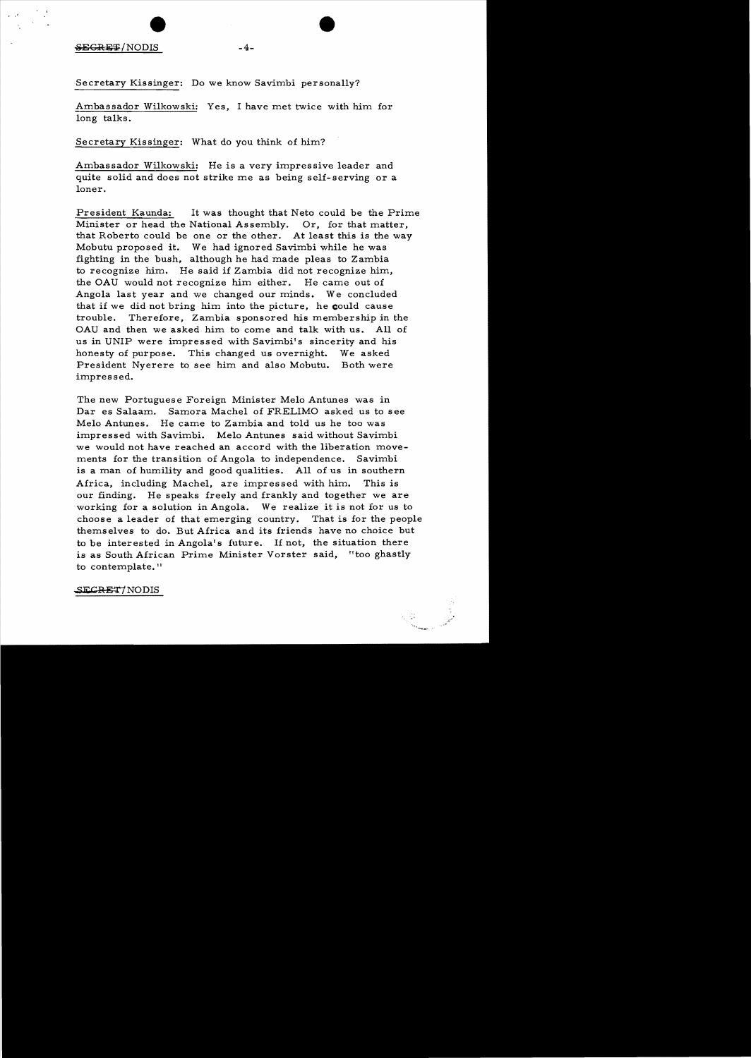#### $SEGREF/NODIS$  -4-

Secretary Kissinger: Do we know Savimbi personally?

Ambassador Wilkowski: Yes, I have met twice with him for long talks.

Secretary Kissinger: What do you think of him?

Ambassador Wilkowski: He is a very impressive leader and quite solid and does not strike me as being self-serving or a loner.

President Kaunda: It was thought that Neto could be the Prime Minister or head the National Assembly. Or, for that matter, that Roberto could be one or the other. At least this is the way Mobutu proposed it. We had ignored Savimbi while he was fighting in the bush, although he had made pleas to Zambia to recognize him. He said if Zambia did not recognize him, the OAU would not recognize him either. He came out of Angola last year and we changed our minds. We concluded that if we did not bring him into the picture, he could cause trouble. Therefore, Zambia sponsored his membership in the OAU and then we asked him to come and talk with us. All of us in UNIP were impressed with Savimbi's sincerity and his honesty of purpose. This changed us overnight. We asked President Nyerere to see him and also Mobutu. Both were impressed.

The new Portuguese Foreign Minister Melo Antunes was in Dar es Salaam. Samora Machel of FRELIMO asked us to see Melo Antunes. He came to Zambia and told us he too was impressed with Savimbi. Melo Antunes said without Savimbi we would not have reached an accord with the liberation movements for the transition of Angola to independence. Savimbi is a man of humility and good qualities. All of us in southern Africa, including Machel, are impres sed with him. This is our finding. He speaks freely and frankly and together we are working for a solution in Angola. We realize it is not for us to choose a leader of that emerging country. That is for the people themselves to do. But Africa and its friends have no choice but to be interested in Angola's future. If not, the situation there is as South African Prime Minister Vorster said, "too ghastly to contemplate."

SECRET/NODIS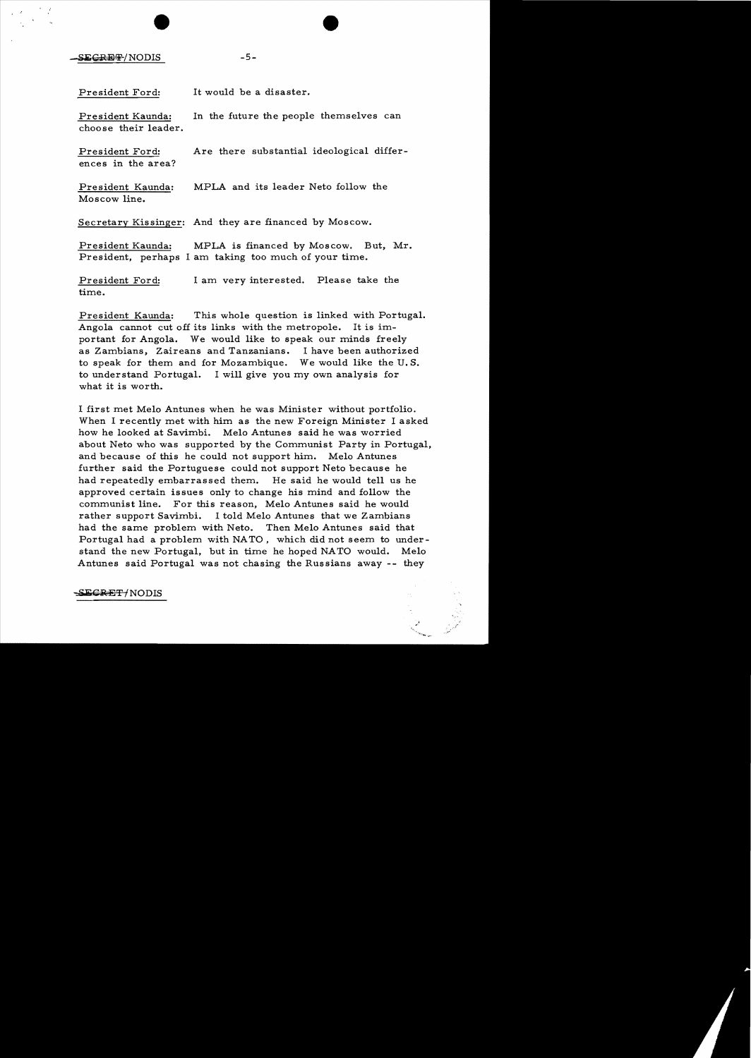$-5-$ 

President Ford: It would be a disaster.

President Kaunda: In the future the people themselves can choose their leader.

President Ford: Are there substantial ideological differences in the area?

President Kaunda: MPLA and its leader Neto follow the Moscow line.

Secretary Kissinger: And they are financed by Moscow.

President Kaunda: MPLA is financed by Moscow. But, Mr. President, perhaps I am taking too much of your time.

President Ford: I am very interested. Please take the time.

President Kaunda: This whole question is linked with Portugal. Angola cannot cut off its links with the metropole. It is important for Angola. We would like to speak our minds freely as Zambians, Zaireans and Tanzanians. I have been authorized to speak for them and for Mozambique. We would like the U. S. to understand Portugal. I will give you my own analysis for what it is worth.

I first met Melo Antunes when he was Minister without portfolio. When I recently met with him as the new Foreign Minister I asked how he looked at Savimbi. Melo Antunes said he was worried about Neto who was supported by the Communist Party in Portugal, and because of this he could not support him. Melo Antunes further said the Portuguese could not support Neto because he had repeatedly embarrassed them. He said he would tell us he approved certain issues only to change his mind and follow the communist line. For this reason, Melo Antunes said he would rather support Savimbi. I told Melo Antunes that we Zambians had the same problem with Neto. Then Melo Antunes said that Portugal had a problem with NATO, which did not seem to understand the new Portugal, but in time he hoped NATO would. Melo Antunes said Portugal was not chasing the Russians away -- they

SEGRET/NODIS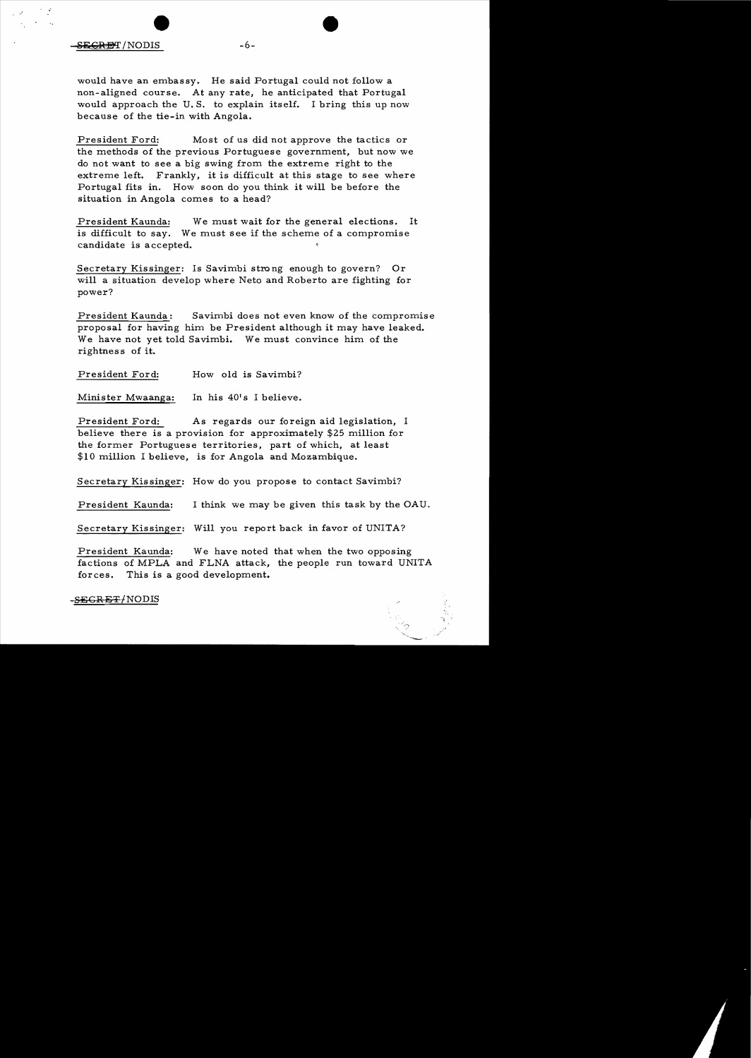would have an embassy. He said Portugal could not follow a non-aligned course. At any rate, he anticipated that Portugal would approach the U. S. to explain itself. I bring this up now because of the tie-in with Angola.

President Ford: Most of us did not approve the tactics or the methods of the previous Portuguese government, but now we do not want to see a big swing from the extreme right to the extreme left. Frankly, it is difficult at this stage to see where Portugal fits in. How soon do you think it will be before the situation in Angola comes to a head?

President Kaunda: We must wait for the general elections. It is difficult to say. We must see if the scheme of a compromise candidate is accepted.

Secretary Kissinger: Is Savimbi strong enough to govern? Or will a situation develop where Neto and Roberto are fighting for power?

President Kaunda: Savimbi does not even know of the compromise proposal for having him be President although it may have leaked. We have not yet told Savimbi. We must convince him of the rightness of it.

President Ford: How old is Savimbi?

Minister Mwaanga: In his 40's I believe.

President Ford: As regards our foreign aid legislation, I believe there is a provision for approximately \$25 million for the former Portuguese territories, part of which, at least \$10 million I believe, is for Angola and Mozambique.

Secretary Kissinger: How do you propose to contact Savimbi?

President Kaunda: I think we may be given this task by the OAU.

Secretary Kissinger: Will you report back in favor of UNITA?

President Kaunda: We have noted that when the two opposing factions of MPLA and FLNA attack, the people run toward UNITA forces. This is a good development.

-<del>SECRET/</del>NODIS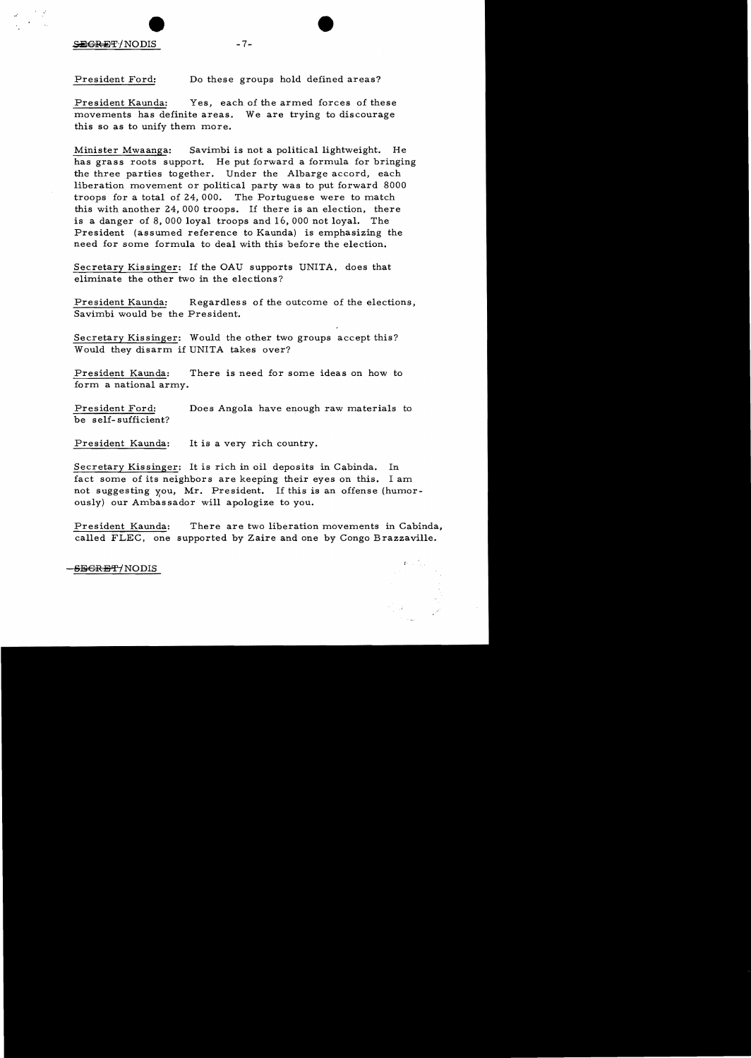SEGRET/NODIS

.:

President Ford: Do these groups hold defined areas?

President Kaunda: Yes, each of the armed forces of these movements has definite areas. We are trying to discourage this so as to unify them more.

Minister Mwaanga: Savimbi is not a political lightweight. He has grass roots support. He put forward a formula for bringing the three parties together. Under the A1barge accord, each liberation movement or political party was to put forward 8000 troops for a total of 24, 000. The Portuguese were to match this with another 24, 000 troops. If there is an election, there is a danger of 8, 000 loyal troops and 16, 000 not loyal. The President (assumed reference to Kaunda) is emphasizing the need for some formula to deal with this before the election.

Secretary Kissinger: If the OAU supports UNITA, does that eliminate the other two in the elections?

President Kaunda: Regardless of the outcome of the elections, Savimbi would be the President.

Secretary Kissinger: Would the other two groups accept this? Would they disarm if UNITA takes over?

President Kaunda: There is need for some ideas on how to form a national army.

President Ford: Does Angola have enough raw materials to be self-sufficient?

President Kaunda: It is a very rich country.

Secretary Kissinger: It is rich in oil deposits in Cabinda. In fact some of its neighbors are keeping their eyes on this. I am not suggesting you, Mr. President. If this is an offense (humorously) our Ambassador will apologize to you.

President Kaunda: There are two liberation movements in Cabinda, called FLEC, one supported by Zaire and one by Congo Brazzaville.

-<del>SECRET/</del>NODIS

 $-7-$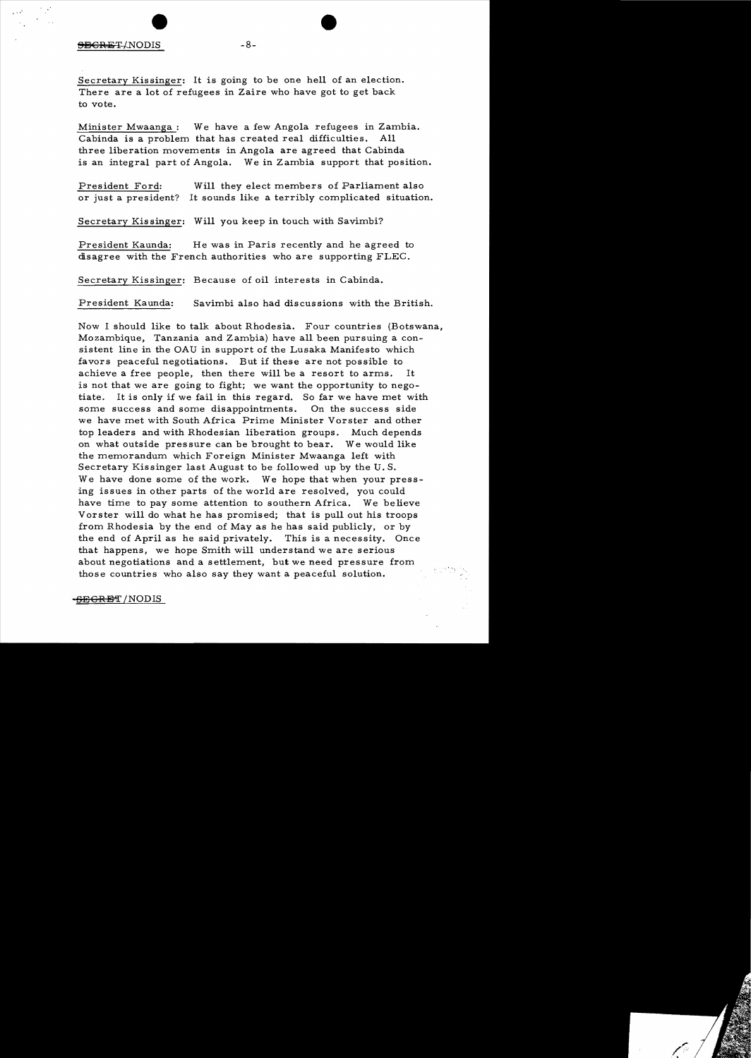#### SEGRET/NODIS -8-

Secretary Kissinger: It is going to be one hell of an election. There are a lot of refugees in Zaire who have got to get back to vote.

Minister Mwaanga : We have a few Angola refugees in Zambia. Cabinda is a problem that has created real difficulties. All three liberation movements in Angola are agreed that Cabinda is an integral part of Angola. We in Zambia support that position.

President Ford: Will they elect members of Parliament also or just a president? It sounds like a terribly complicated situation.

Secretary Kis singer: Will you keep in touch with Savimbi?

President Kaunda: He was in Paris recently and he agreed to disagree with the French authorities who are supporting FLEC.

Secretary Kissinger: Because of oil interests in Cabinda.

President Kaunda: Savimbi also had discussions with the British.

Now I should like to talk about Rhodesia. Four countries (Botswana, Mozambique, Tanzania and Zambia) have all been pursuing a consistent line in the OAD in support of the Lusaka Manifesto which favors peaceful negotiations. But if these are not possible to achieve a free people, then there will be a resort to arms. It is not that we are going to fight; we want the opportunity to negotiate. It is only if we fail in this regard. So far we have met with some success and some disappointments. On the success side we have met with South Africa Prime Minister Vorster and other top leaders and with Rhodesian liberation groups. Much depends on what outside pressure can be brought to bear. We would like the memorandum which Foreign Minister Mwaanga left with Secretary Kissinger last August to be followed up by the D. S. We have done some of the work. We hope that when your pressing issues in other parts of the world are resolved, you could have time to pay some attention to southern Africa. We believe Vorster will do what he has promised; that is pull out his troops from Rhodesia by the end of Mayas he has said publicly, or by the end of April as he said privately. This is a necessity. Once that happens, we hope Smith will understand we are serious about negotiations and a settlement, but we need pressure from those countries who also say they want a peaceful solution.

<del>-SEGREI</del> /NODIS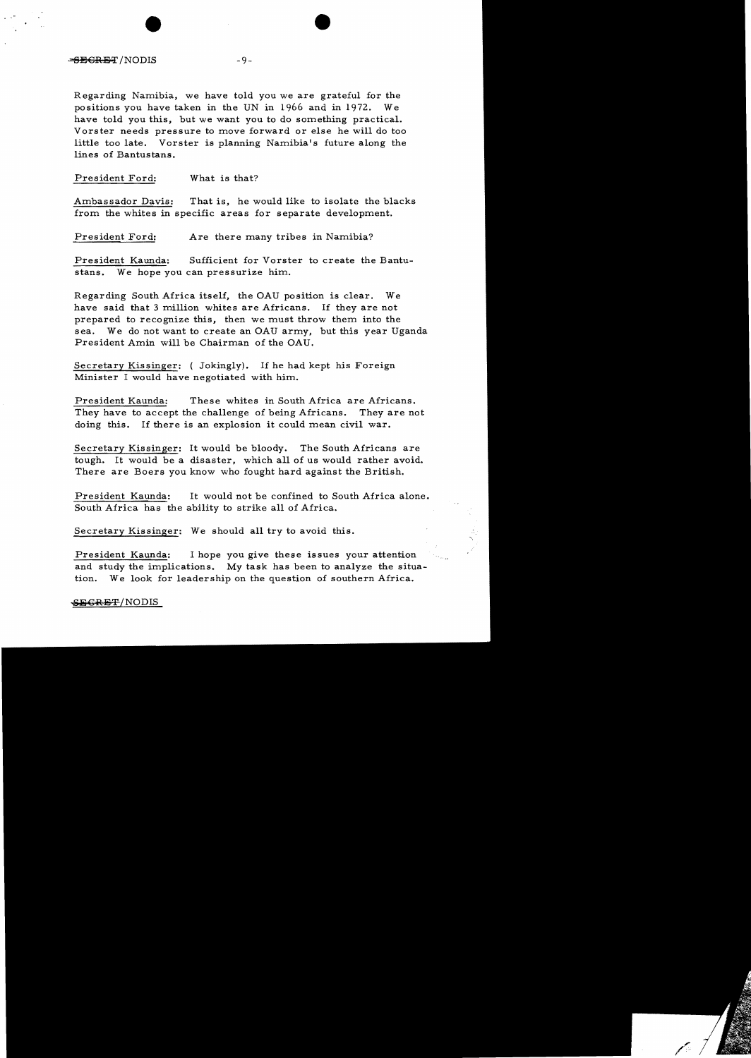## $-\theta = \theta - 9$

Regarding Namibia, we have told you we are grateful for the positions you have taken in the UN in 1966 and in 1972. We have told you this, but we want you to do something practical. Vorster needs pressure to move forward or else he will do too little too late. Vorster is planning Namibia's future along the lines of Bantustans.

President Ford: What is that?

Ambassador Davis: That is, he would like to isolate the blacks from the whites in specific areas for separate development.

President Ford: Are there many tribes in Namibia?

President Kaunda: Sufficient for Vorster to create the Bantustans. We hope you can pressurize him.

Regarding South Africa itself, the OAU position is clear. We have said that 3 million whites are Africans. If they are not prepared to recognize this, then we must throw them into the sea. We do not want to create an OAU army, but this year Uganda President Amin will be Chairman of the OAU.

Secretary Kissinger: (Jokingly), If he had kept his Foreign Minister I would have negotiated with him.

President Kaunda: These whites in South Africa are Africans. They have to accept the challenge of being Africans. They are not doing this. If there is an explosion it could mean civil war.

Secretary Kissinger: It would be bloody. The South Africans are tough. It would be a disaster, which all of us would rather avoid. There are Boers you know who fought hard against the British.

President Kaunda: It would not be confined to South Africa alone. South Africa has the ability to strike all of Africa.

Secretary Kissinger: We should all try to avoid this.

President Kaunda: I hope you give these issues your attention and study the implications. My task has been to analyze the situation. We look for leadership on the question of southern Africa.

### SEGRET/NODIS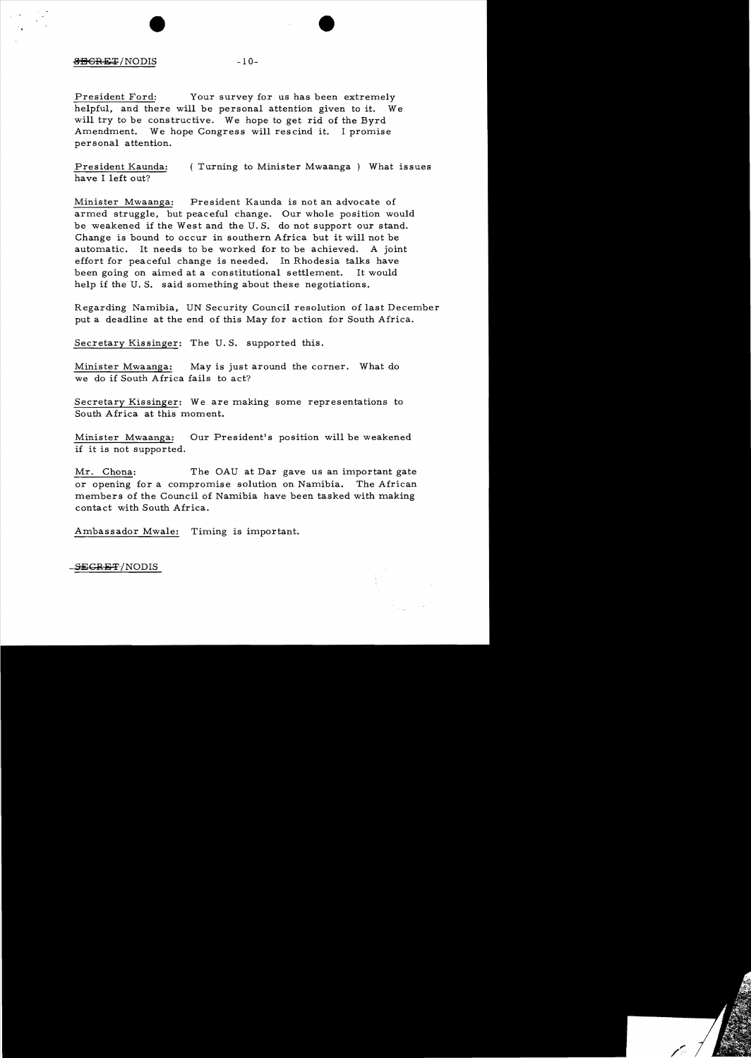# $\overline{\text{SBGRET}}/ \text{NODIS}$  -10-

President Ford: Your survey for us has been extremely helpful, and there will be personal attention given to it. We will try to be constructive. We hope to get rid of the Byrd Amendment. We hope Congress will rescind it. I promise personal attention.

President Kaunda: ( Turning to Minister Mwaanga ) What issues have I left out?

Minister Mwaanga: President Kaunda is not an advocate of armed struggle, but peaceful change. Our whole position would be weakened if the West and the U. S. do not support our stand. Change is bound to occur in southern Africa but it will not be automatic. It needs to be worked for to be achieved. A joint effort for peaceful change is needed. In Rhodesia talks have been going on aimed at a constitutional settlement. It would help if the U.S. said something about these negotiations.

Regarding Namibia, UN Security Council resolution of last December put a deadline at the end of this May for action for South Africa.

Secretary Kissinger: The U. S. supported this.

Minister Mwaanga: May is just around the corner. What do we do if South Africa fails to act?

Secretary Kissinger: We are making some representations to South Africa at this moment.

Minister Mwaanga: Our President's position will be weakened if it is not supported.

Mr. Chona: The OAU at Dar gave us an important gate or opening for a compromise solution on Namibia. The African members of the Council of Namibia have been tasked with making contact with South Africa.

Ambassador Mwale: Timing is important.

-SEGR<del>ET</del>/NODIS